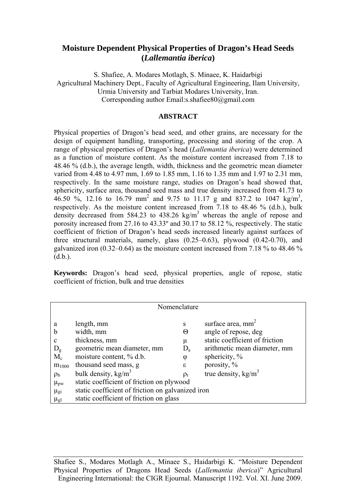# **Moisture Dependent Physical Properties of Dragon's Head Seeds (***Lallemantia iberica***)**

S. Shafiee, A. Modares Motlagh, S. Minaee, K. Haidarbigi Agricultural Machinery Dept., Faculty of Agricultural Engineering, Ilam University, Urmia University and Tarbiat Modares University, Iran. Corresponding author Email:s.shafiee80@gmail.com

# **ABSTRACT**

Physical properties of Dragon's head seed, and other grains, are necessary for the design of equipment handling, transporting, processing and storing of the crop. A range of physical properties of Dragon's head (*Lallemantia iberica*) were determined as a function of moisture content. As the moisture content increased from 7.18 to 48.46 % (d.b.), the average length, width, thickness and the geometric mean diameter varied from 4.48 to 4.97 mm, 1.69 to 1.85 mm, 1.16 to 1.35 mm and 1.97 to 2.31 mm, respectively. In the same moisture range, studies on Dragon's head showed that, sphericity, surface area, thousand seed mass and true density increased from 41.73 to 46.50 %, 12.16 to 16.79 mm<sup>2</sup> and 9.75 to 11.17 g and 837.2 to 1047 kg/m<sup>3</sup>, respectively. As the moisture content increased from 7.18 to 48.46 % (d.b.), bulk density decreased from 584.23 to 438.26 kg/m<sup>3</sup> whereas the angle of repose and porosity increased from 27.16 to 43.33º and 30.17 to 58.12 %, respectively. The static coefficient of friction of Dragon's head seeds increased linearly against surfaces of three structural materials, namely, glass (0.25–0.63), plywood (0.42-0.70), and galvanized iron (0.32–0.64) as the moisture content increased from 7.18 % to 48.46 %  $(d.b.).$ 

**Keywords:** Dragon's head seed, physical properties, angle of repose, static coefficient of friction, bulk and true densities

| Nomenclature      |                                                   |            |                                |  |  |  |  |  |
|-------------------|---------------------------------------------------|------------|--------------------------------|--|--|--|--|--|
|                   |                                                   |            |                                |  |  |  |  |  |
| a                 | length, mm                                        | S          | surface area, $mm2$            |  |  |  |  |  |
| $\mathbf b$       | width, mm                                         | Θ          | angle of repose, deg           |  |  |  |  |  |
| C                 | thickness, mm                                     | μ          | static coefficient of friction |  |  |  |  |  |
| $D_{g}$           | geometric mean diameter, mm                       | $D_{a}$    | arithmetic mean diameter, mm   |  |  |  |  |  |
| $M_c$             | moisture content, % d.b.                          | φ          | sphericity, $%$                |  |  |  |  |  |
| $m_{1000}$        | thousand seed mass, g                             | $\epsilon$ | porosity, %                    |  |  |  |  |  |
| $\rho_{\rm b}$    | bulk density, $kg/m3$                             | $\rho_t$   | true density, $kg/m3$          |  |  |  |  |  |
| $\mu_{\text{pw}}$ | static coefficient of friction on plywood         |            |                                |  |  |  |  |  |
| $\mu_{gi}$        | static coefficient of friction on galvanized iron |            |                                |  |  |  |  |  |
| $\mu_{gl}$        | static coefficient of friction on glass           |            |                                |  |  |  |  |  |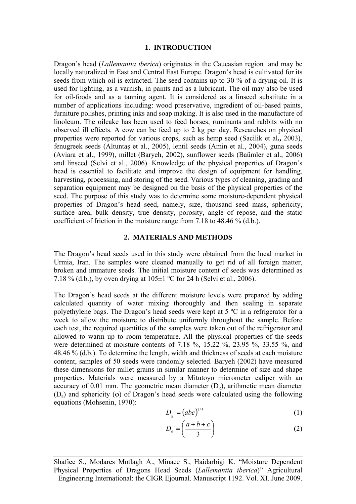## **1. INTRODUCTION**

Dragon's head (*Lallemantia iberica*) originates in the Caucasian region and may be locally naturalized in East and Central East Europe. Dragon's head is cultivated for its seeds from which oil is extracted. The seed contains up to 30 % of a drying oil. It is used for lighting, as a varnish, in paints and as a lubricant. The oil may also be used for oil-foods and as a tanning agent. It is considered as a linseed substitute in a number of applications including: wood preservative, ingredient of oil-based paints, furniture polishes, printing inks and soap making. It is also used in the manufacture of linoleum. The oilcake has been used to feed horses, ruminants and rabbits with no observed ill effects. A cow can be feed up to 2 kg per day. Researches on physical properties were reported for various crops, such as hemp seed (Sacilik et al**.,** 2003), fenugreek seeds (Altuntaş et al., 2005), lentil seeds (Amin et al., 2004), guna seeds (Aviara et al., 1999), millet (Baryeh, 2002), sunflower seeds (Baümler et al., 2006) and linseed (Selvi et al., 2006). Knowledge of the physical properties of Dragon's head is essential to facilitate and improve the design of equipment for handling, harvesting, processing, and storing of the seed. Various types of cleaning, grading and separation equipment may be designed on the basis of the physical properties of the seed. The purpose of this study was to determine some moisture-dependent physical properties of Dragon's head seed, namely, size, thousand seed mass, sphericity, surface area, bulk density, true density, porosity, angle of repose, and the static coefficient of friction in the moisture range from 7.18 to 48.46 % (d.b.).

#### **2. MATERIALS AND METHODS**

The Dragon's head seeds used in this study were obtained from the local market in Urmia, Iran. The samples were cleaned manually to get rid of all foreign matter, broken and immature seeds. The initial moisture content of seeds was determined as 7.18 % (d.b.), by oven drying at  $105 \pm 1$  °C for 24 h (Selvi et al., 2006).

The Dragon's head seeds at the different moisture levels were prepared by adding calculated quantity of water mixing thoroughly and then sealing in separate polyethylene bags. The Dragon's head seeds were kept at 5 ºC in a refrigerator for a week to allow the moisture to distribute uniformly throughout the sample. Before each test, the required quantities of the samples were taken out of the refrigerator and allowed to warm up to room temperature. All the physical properties of the seeds were determined at moisture contents of 7.18 %, 15.22 %, 23.95 %, 33.55 %, and 48.46 % (d.b.). To determine the length, width and thickness of seeds at each moisture content, samples of 50 seeds were randomly selected. Baryeh (2002) have measured these dimensions for millet grains in similar manner to determine of size and shape properties. Materials were measured by a Mitutoyo micrometer caliper with an accuracy of 0.01 mm. The geometric mean diameter  $(D<sub>g</sub>)$ , arithmetic mean diameter (Da) and sphericity (φ) of Dragon's head seeds were calculated using the following equations (Mohsenin, 1970):

$$
D_g = (abc)^{1/3} \tag{1}
$$

$$
D_a = \left(\frac{a+b+c}{3}\right) \tag{2}
$$

Shafiee S., Modares Motlagh A., Minaee S., Haidarbigi K. "Moisture Dependent Physical Properties of Dragons Head Seeds (*Lallemantia iberica*)" Agricultural Engineering International: the CIGR Ejournal. Manuscript 1192. Vol. XI. June 2009.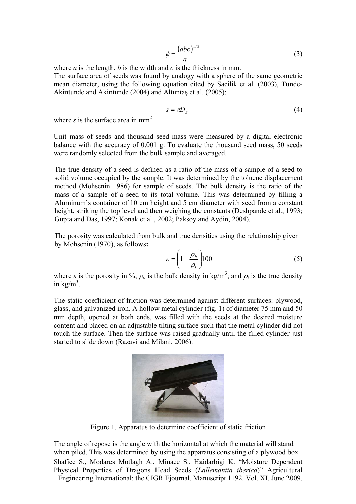$$
\phi = \frac{(abc)^{1/3}}{a} \tag{3}
$$

where *a* is the length, *b* is the width and *c* is the thickness in mm.

The surface area of seeds was found by analogy with a sphere of the same geometric mean diameter, using the following equation cited by Sacilik et al. (2003), Tunde-Akintunde and Akintunde (2004) and Altuntaş et al. (2005):

$$
s = \pi D_g \tag{4}
$$

where  $s$  is the surface area in mm<sup>2</sup>.

Unit mass of seeds and thousand seed mass were measured by a digital electronic balance with the accuracy of 0.001 g. To evaluate the thousand seed mass, 50 seeds were randomly selected from the bulk sample and averaged.

The true density of a seed is defined as a ratio of the mass of a sample of a seed to solid volume occupied by the sample. It was determined by the toluene displacement method (Mohsenin 1986) for sample of seeds. The bulk density is the ratio of the mass of a sample of a seed to its total volume. This was determined by filling a Aluminum's container of 10 cm height and 5 cm diameter with seed from a constant height, striking the top level and then weighing the constants (Deshpande et al., 1993; Gupta and Das, 1997; Konak et al., 2002; Paksoy and Aydin, 2004).

The porosity was calculated from bulk and true densities using the relationship given by Mohsenin (1970), as follows**:**

$$
\varepsilon = \left(1 - \frac{\rho_b}{\rho_t}\right) 100\tag{5}
$$

where  $\varepsilon$  is the porosity in %;  $\rho_b$  is the bulk density in kg/m<sup>3</sup>; and  $\rho_t$  is the true density in  $\text{kg/m}^3$ .

The static coefficient of friction was determined against different surfaces: plywood, glass, and galvanized iron. A hollow metal cylinder (fig. 1) of diameter 75 mm and 50 mm depth, opened at both ends, was filled with the seeds at the desired moisture content and placed on an adjustable tilting surface such that the metal cylinder did not touch the surface. Then the surface was raised gradually until the filled cylinder just started to slide down (Razavi and Milani, 2006).



Figure 1. Apparatus to determine coefficient of static friction

The angle of repose is the angle with the horizontal at which the material will stand when piled. This was determined by using the apparatus consisting of a plywood box Shafiee S., Modares Motlagh A., Minaee S., Haidarbigi K. "Moisture Dependent Physical Properties of Dragons Head Seeds (*Lallemantia iberica*)" Agricultural Engineering International: the CIGR Ejournal. Manuscript 1192. Vol. XI. June 2009.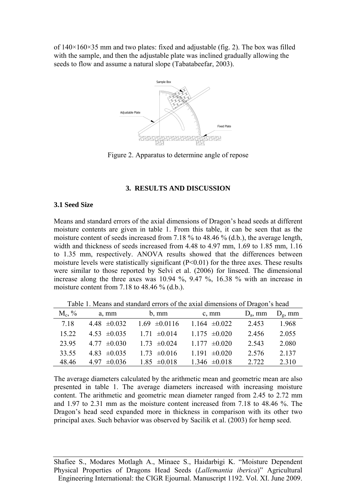of  $140\times160\times35$  mm and two plates: fixed and adjustable (fig. 2). The box was filled with the sample, and then the adjustable plate was inclined gradually allowing the seeds to flow and assume a natural slope (Tabatabeefar, 2003).



Figure 2. Apparatus to determine angle of repose

### **3. RESULTS AND DISCUSSION**

#### **3.1 Seed Size**

Means and standard errors of the axial dimensions of Dragon's head seeds at different moisture contents are given in table 1. From this table, it can be seen that as the moisture content of seeds increased from 7.18 % to 48.46 % (d.b.), the average length, width and thickness of seeds increased from 4.48 to 4.97 mm, 1.69 to 1.85 mm, 1.16 to 1.35 mm, respectively. ANOVA results showed that the differences between moisture levels were statistically significant  $(P<0.01)$  for the three axes. These results were similar to those reported by Selvi et al. (2006) for linseed. The dimensional increase along the three axes was 10.94 %, 9.47 %, 16.38 % with an increase in moisture content from 7.18 to 48.46 % (d.b.).

Table 1. Means and standard errors of the axial dimensions of Dragon's head

| $M_c, \%$ | a, mm            | $b, \, \text{mm}$ | c, mm             | $D_a$ , mm | $D_g$ , mm |  |  |  |
|-----------|------------------|-------------------|-------------------|------------|------------|--|--|--|
| 7.18      | 4.48 $\pm 0.032$ | $1.69 \pm 0.0116$ | 1.164 $\pm 0.022$ | 2.453      | 1.968      |  |  |  |
| 15.22     | 4.53 $\pm 0.035$ | $1.71 \pm 0.014$  | $1.175 \pm 0.020$ | 2.456      | 2.055      |  |  |  |
| 23.95     | $4.77 \pm 0.030$ | $1.73 \pm 0.024$  | $1177 \pm 0.020$  | 2.543      | 2.080      |  |  |  |
| 33.55     | 4.83 $\pm 0.035$ | $1.73 \pm 0.016$  | 1.191 $\pm 0.020$ | 2.576      | 2.137      |  |  |  |
| 48.46     | 4.97 $\pm 0.036$ | $1.85 \pm 0.018$  | $1.346 \pm 0.018$ | 2.722      | 2.310      |  |  |  |

The average diameters calculated by the arithmetic mean and geometric mean are also presented in table 1. The average diameters increased with increasing moisture content. The arithmetic and geometric mean diameter ranged from 2.45 to 2.72 mm and 1.97 to 2.31 mm as the moisture content increased from 7.18 to 48.46 %. The Dragon's head seed expanded more in thickness in comparison with its other two principal axes. Such behavior was observed by Sacilik et al. (2003) for hemp seed.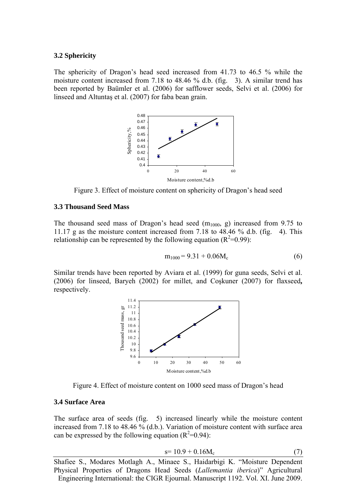### **3.2 Sphericity**

The sphericity of Dragon's head seed increased from 41.73 to 46.5 % while the moisture content increased from 7.18 to 48.46 % d.b. (fig. 3). A similar trend has been reported by Baümler et al. (2006) for safflower seeds, Selvi et al. (2006) for linseed and Altuntaş et al. (2007) for faba bean grain.



Figure 3. Effect of moisture content on sphericity of Dragon's head seed

## **3.3 Thousand Seed Mass**

The thousand seed mass of Dragon's head seed  $(m_{1000}, g)$  increased from 9.75 to 11.17 g as the moisture content increased from 7.18 to 48.46 % d.b. (fig. 4). This relationship can be represented by the following equation  $(R^2=0.99)$ :

$$
m_{1000} = 9.31 + 0.06 M_c
$$
 (6)

Similar trends have been reported by Aviara et al. (1999) for guna seeds, Selvi et al. (2006) for linseed, Baryeh (2002) for millet, and Coşkuner (2007) for flaxseed**,**  respectively.



Figure 4. Effect of moisture content on 1000 seed mass of Dragon's head

# **3.4 Surface Area**

The surface area of seeds (fig. 5) increased linearly while the moisture content increased from 7.18 to 48.46  $\frac{6}{6}$  (d.b.). Variation of moisture content with surface area can be expressed by the following equation  $(R^2=0.94)$ :

$$
s = 10.9 + 0.16M_c \tag{7}
$$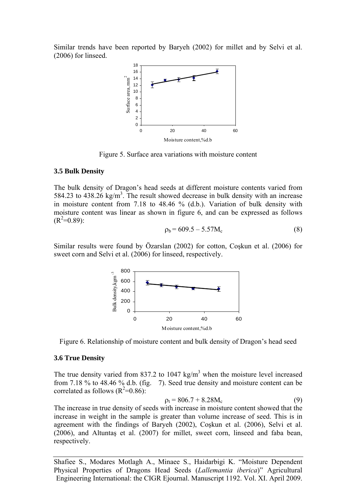Similar trends have been reported by Baryeh (2002) for millet and by Selvi et al. (2006) for linseed.



Figure 5. Surface area variations with moisture content

#### **3.5 Bulk Density**

The bulk density of Dragon's head seeds at different moisture contents varied from 584.23 to 438.26 kg/m<sup>3</sup>. The result showed decrease in bulk density with an increase in moisture content from 7.18 to 48.46 % (d.b.). Variation of bulk density with moisture content was linear as shown in figure 6, and can be expressed as follows  $(R^2=0.89)$ :

$$
\rho_b = 609.5 - 5.57 M_c \tag{8}
$$

Similar results were found by Özarslan (2002) for cotton, Coşkun et al. (2006) for sweet corn and Selvi et al. (2006) for linseed, respectively.



Figure 6. Relationship of moisture content and bulk density of Dragon's head seed

## **3.6 True Density**

The true density varied from 837.2 to 1047 kg/m<sup>3</sup> when the moisture level increased from 7.18 % to 48.46 % d.b. (fig. 7). Seed true density and moisture content can be correlated as follows  $(R^2=0.86)$ :

$$
\rho_t = 806.7 + 8.28 M_c \tag{9}
$$

The increase in true density of seeds with increase in moisture content showed that the increase in weight in the sample is greater than volume increase of seed. This is in agreement with the findings of Baryeh (2002), Coşkun et al. (2006), Selvi et al. (2006), and Altuntaş et al. (2007) for millet, sweet corn, linseed and faba bean, respectively.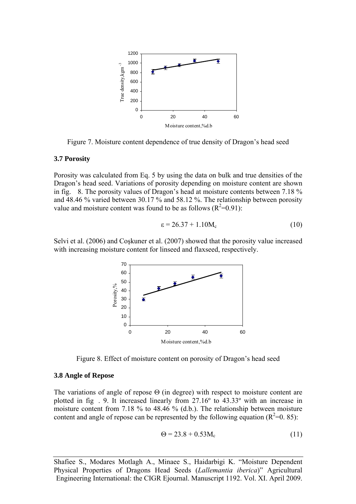

Figure 7. Moisture content dependence of true density of Dragon's head seed

## **3.7 Porosity**

Porosity was calculated from Eq. 5 by using the data on bulk and true densities of the Dragon's head seed. Variations of porosity depending on moisture content are shown in fig. 8. The porosity values of Dragon's head at moisture contents between 7.18 % and 48.46 % varied between 30.17 % and 58.12 %. The relationship between porosity value and moisture content was found to be as follows  $(R^2=0.91)$ :

$$
\varepsilon = 26.37 + 1.10 M_c \tag{10}
$$

Selvi et al. (2006) and Coşkuner et al. (2007) showed that the porosity value increased with increasing moisture content for linseed and flaxseed, respectively.



Figure 8. Effect of moisture content on porosity of Dragon's head seed

### **3.8 Angle of Repose**

The variations of angle of repose  $\Theta$  (in degree) with respect to moisture content are plotted in fig . 9. It increased linearly from 27.16º to 43.33º with an increase in moisture content from 7.18 % to 48.46 % (d.b.). The relationship between moisture content and angle of repose can be represented by the following equation  $(R^2=0.85)$ :

$$
\Theta = 23.8 + 0.53 M_c \tag{11}
$$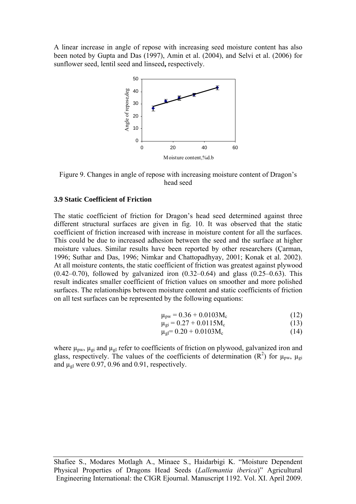A linear increase in angle of repose with increasing seed moisture content has also been noted by Gupta and Das (1997), Amin et al. (2004), and Selvi et al. (2006) for sunflower seed, lentil seed and linseed**,** respectively.



Figure 9. Changes in angle of repose with increasing moisture content of Dragon's head seed

# **3.9 Static Coefficient of Friction**

The static coefficient of friction for Dragon's head seed determined against three different structural surfaces are given in fig. 10. It was observed that the static coefficient of friction increased with increase in moisture content for all the surfaces. This could be due to increased adhesion between the seed and the surface at higher moisture values. Similar results have been reported by other researchers (Çarman, 1996; Suthar and Das, 1996; Nimkar and Chattopadhyay, 2001; Konak et al. 2002). At all moisture contents, the static coefficient of friction was greatest against plywood  $(0.42-0.70)$ , followed by galvanized iron  $(0.32-0.64)$  and glass  $(0.25-0.63)$ . This result indicates smaller coefficient of friction values on smoother and more polished surfaces. The relationships between moisture content and static coefficients of friction on all test surfaces can be represented by the following equations:

$$
\mu_{\text{pw}} = 0.36 + 0.0103 M_c \tag{12}
$$

$$
\mu_{gi} = 0.27 + 0.0115 M_c \tag{13}
$$

$$
\mu_{gl} = 0.20 + 0.0103 M_c \tag{14}
$$

where  $\mu_{\text{pw}}$ ,  $\mu_{\text{gi}}$  and  $\mu_{\text{gl}}$  refer to coefficients of friction on plywood, galvanized iron and glass, respectively. The values of the coefficients of determination ( $\mathbb{R}^2$ ) for  $\mu_{\text{pw}}$ ,  $\mu_{\text{gi}}$ and  $\mu_{gl}$  were 0.97, 0.96 and 0.91, respectively.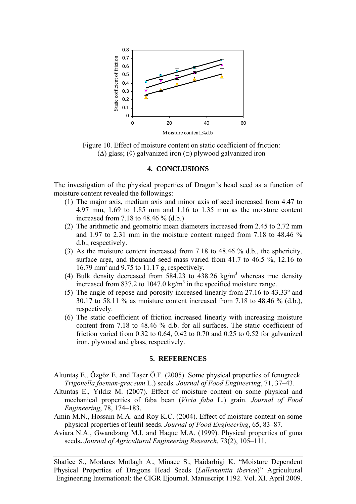

Figure 10. Effect of moisture content on static coefficient of friction:  $(\Delta)$  glass;  $(\Diamond)$  galvanized iron  $(\Box)$  plywood galvanized iron

# **4. CONCLUSIONS**

The investigation of the physical properties of Dragon's head seed as a function of moisture content revealed the followings:

- (1) The major axis, medium axis and minor axis of seed increased from 4.47 to 4.97 mm, 1.69 to 1.85 mm and 1.16 to 1.35 mm as the moisture content increased from 7.18 to 48.46 % (d.b.)
- (2) The arithmetic and geometric mean diameters increased from 2.45 to 2.72 mm and 1.97 to 2.31 mm in the moisture content ranged from 7.18 to 48.46 % d.b., respectively.
- (3) As the moisture content increased from 7.18 to 48.46 % d.b., the sphericity, surface area, and thousand seed mass varied from 41.7 to 46.5 %, 12.16 to 16.79 mm2 and 9.75 to 11.17 g, respectively.
- (4) Bulk density decreased from 584.23 to 438.26 kg/m<sup>3</sup> whereas true density increased from 837.2 to 1047.0 kg/m<sup>3</sup> in the specified moisture range.
- (5) The angle of repose and porosity increased linearly from 27.16 to 43.33º and 30.17 to 58.11 % as moisture content increased from 7.18 to 48.46 % (d.b.), respectively.
- (6) The static coefficient of friction increased linearly with increasing moisture content from 7.18 to 48.46 % d.b. for all surfaces. The static coefficient of friction varied from 0.32 to 0.64, 0.42 to 0.70 and 0.25 to 0.52 for galvanized iron, plywood and glass, respectively.

# **5. REFERENCES**

- Altuntaş E., Özgöz E. and Taşer Ö.F. (2005). Some physical properties of fenugreek *Trigonella foenum-graceum* L.) seeds. *Journal of Food Engineering*, 71, 37–43.
- Altuntaş E., Yıldız M. (2007). Effect of moisture content on some physical and mechanical properties of faba bean (*Vicia faba* L.) grain. *Journal of Food Engineering*, 78, 174–183.
- Amin M.N., Hossain M.A. and Roy K.C. (2004). Effect of moisture content on some physical properties of lentil seeds. *Journal of Food Engineering*, 65, 83–87.
- Aviara N.A., Gwandzang M.I. and Haque M.A. (1999). Physical properties of guna seeds**.** *Journal of Agricultural Engineering Research*, 73(2), 105–111.